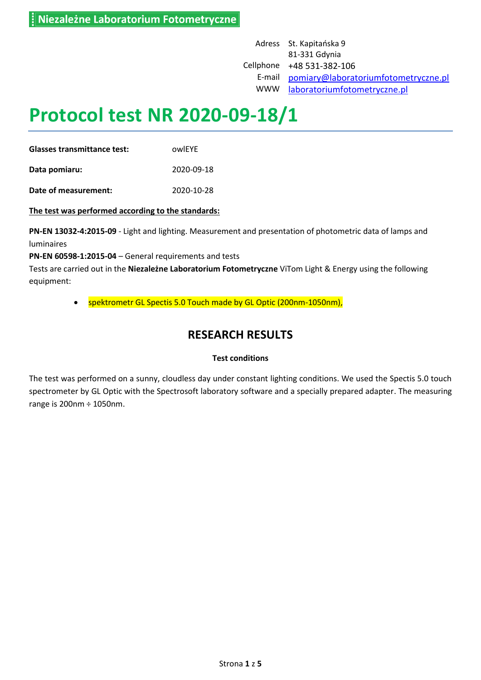Adress St. Kapitańska 9 81-331 Gdynia Cellphone +48 531-382-106 E-mail [pomiary@laboratoriumfotometryczne.pl](mailto:pomiary@laboratoriumfotometryczne.pl) WWW [laboratoriumfotometryczne.pl](file:///C:/Users/Tomek/Documents/ViTom/Pomiary/Tayama/Composite%20flood%20100W%204000K%2090°/laboratoriumfotometryczne.pl)

# **Protocol test NR 2020-09-18/1**

**Glasses transmittance test:** owlEYE **Data pomiaru:** 2020-09-18

**Date of measurement:** 2020-10-28

**The test was performed according to the standards:**

**PN-EN 13032-4:2015-09** - Light and lighting. Measurement and presentation of photometric data of lamps and luminaires

**PN-EN 60598-1:2015-04** – General requirements and tests

Tests are carried out in the **Niezależne Laboratorium Fotometryczne** ViTom Light & Energy using the following equipment:

spektrometr GL Spectis 5.0 Touch made by GL Optic (200nm-1050nm),

## **RESEARCH RESULTS**

#### **Test conditions**

The test was performed on a sunny, cloudless day under constant lighting conditions. We used the Spectis 5.0 touch spectrometer by GL Optic with the Spectrosoft laboratory software and a specially prepared adapter. The measuring range is 200nm ÷ 1050nm.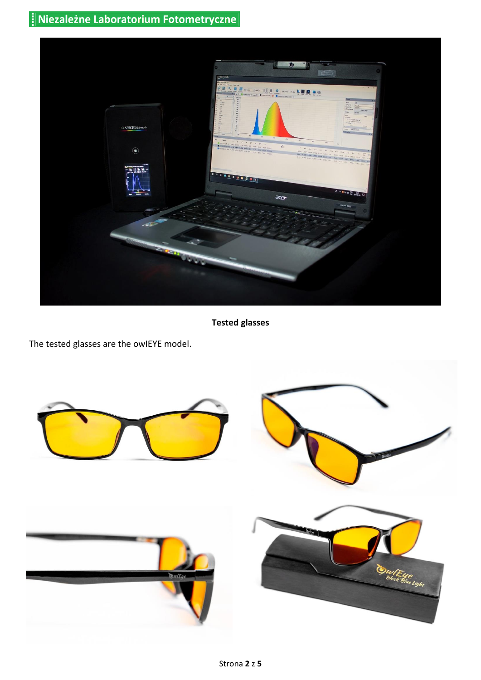

**Tested glasses**

The tested glasses are the owIEYE model.

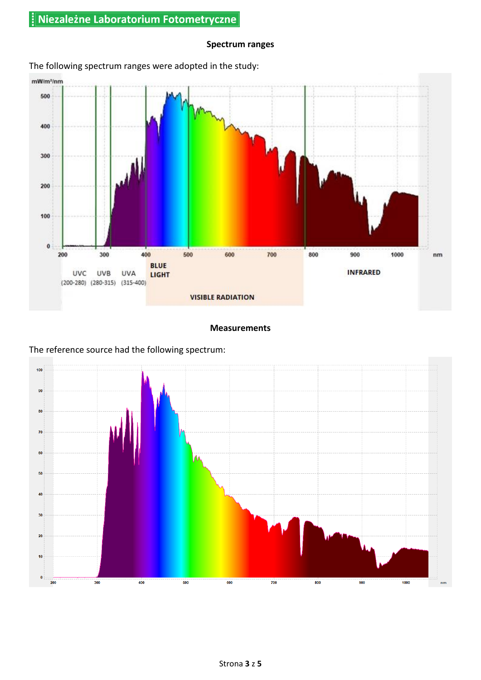#### **Spectrum ranges**



## The following spectrum ranges were adopted in the study:

#### **Measurements**



The reference source had the following spectrum: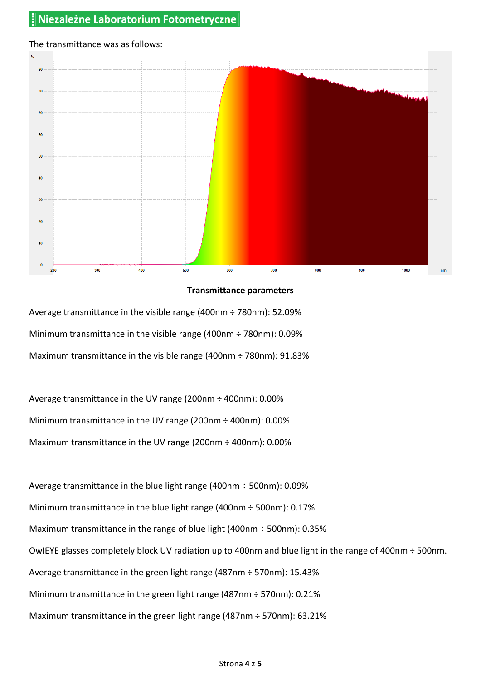## $90$ 80  $70$ 60 50 40  $30$  $20$ 10 700 400 500 800 900 1000 300 600  $200$

#### The transmittance was as follows:

#### **Transmittance parameters**

Average transmittance in the visible range (400nm ÷ 780nm): 52.09% Minimum transmittance in the visible range (400nm ÷ 780nm): 0.09% Maximum transmittance in the visible range (400nm ÷ 780nm): 91.83%

Average transmittance in the UV range (200nm ÷ 400nm): 0.00% Minimum transmittance in the UV range (200nm ÷ 400nm): 0.00% Maximum transmittance in the UV range (200nm ÷ 400nm): 0.00%

Average transmittance in the blue light range (400nm ÷ 500nm): 0.09% Minimum transmittance in the blue light range (400nm ÷ 500nm): 0.17% Maximum transmittance in the range of blue light (400nm ÷ 500nm): 0.35% OwIEYE glasses completely block UV radiation up to 400nm and blue light in the range of 400nm ÷ 500nm. Average transmittance in the green light range (487nm ÷ 570nm): 15.43% Minimum transmittance in the green light range (487nm ÷ 570nm): 0.21% Maximum transmittance in the green light range (487nm ÷ 570nm): 63.21%